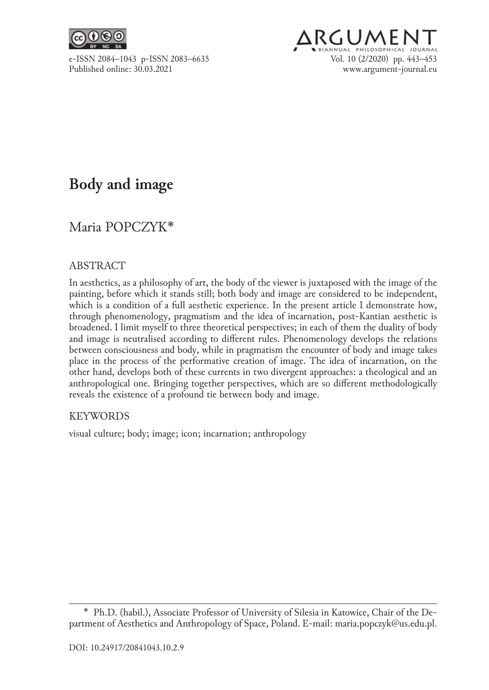



# **Body and image**

## Maria POPCZYK\*

### ABSTRACT

In aesthetics, as a philosophy of art, the body of the viewer is juxtaposed with the image of the painting, before which it stands still; both body and image are considered to be independent, which is a condition of a full aesthetic experience. In the present article I demonstrate how, through phenomenology, pragmatism and the idea of incarnation, post‑Kantian aesthetic is broadened. I limit myself to three theoretical perspectives; in each of them the duality of body and image is neutralised according to different rules. Phenomenology develops the relations between consciousness and body, while in pragmatism the encounter of body and image takes place in the process of the performative creation of image. The idea of incarnation, on the other hand, develops both of these currents in two divergent approaches: a theological and an anthropological one. Bringing together perspectives, which are so different methodologically reveals the existence of a profound tie between body and image.

### KEYWORDS

visual culture; body; image; icon; incarnation; anthropology

<sup>\*</sup>  Ph.D. (habil.), Associate Professor of University of Silesia in Katowice, Chair of the De‑ partment of Aesthetics and Anthropology of Space, Poland. E-mail: maria.popczyk@us.edu.pl.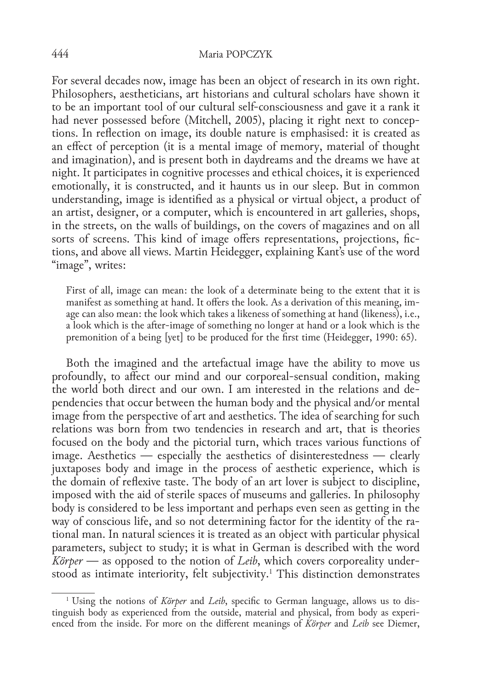For several decades now, image has been an object of research in its own right. Philosophers, aestheticians, art historians and cultural scholars have shown it to be an important tool of our cultural self‑consciousness and gave it a rank it had never possessed before (Mitchell, 2005), placing it right next to conceptions. In reflection on image, its double nature is emphasised: it is created as an effect of perception (it is a mental image of memory, material of thought and imagination), and is present both in daydreams and the dreams we have at night. It participates in cognitive processes and ethical choices, it is experienced emotionally, it is constructed, and it haunts us in our sleep. But in common understanding, image is identified as a physical or virtual object, a product of an artist, designer, or a computer, which is encountered in art galleries, shops, in the streets, on the walls of buildings, on the covers of magazines and on all sorts of screens. This kind of image offers representations, projections, fictions, and above all views. Martin Heidegger, explaining Kant's use of the word "image", writes:

First of all, image can mean: the look of a determinate being to the extent that it is manifest as something at hand. It offers the look. As a derivation of this meaning, image can also mean: the look which takes a likeness of something at hand (likeness), i.e., a look which is the after‑image of something no longer at hand or a look which is the premonition of a being [yet] to be produced for the first time (Heidegger, 1990: 65).

Both the imagined and the artefactual image have the ability to move us profoundly, to affect our mind and our corporeal‑sensual condition, making the world both direct and our own. I am interested in the relations and de‑ pendencies that occur between the human body and the physical and/or mental image from the perspective of art and aesthetics. The idea of searching for such relations was born from two tendencies in research and art, that is theories focused on the body and the pictorial turn, which traces various functions of image. Aesthetics — especially the aesthetics of disinterestedness — clearly juxtaposes body and image in the process of aesthetic experience, which is the domain of reflexive taste. The body of an art lover is subject to discipline, imposed with the aid of sterile spaces of museums and galleries. In philosophy body is considered to be less important and perhaps even seen as getting in the way of conscious life, and so not determining factor for the identity of the rational man. In natural sciences it is treated as an object with particular physical parameters, subject to study; it is what in German is described with the word *Körper* — as opposed to the notion of *Leib*, which covers corporeality understood as intimate interiority, felt subjectivity.<sup>1</sup> This distinction demonstrates

<sup>1</sup> Using the notions of *Körper* and *Leib*, specific to German language, allows us to dis‑ tinguish body as experienced from the outside, material and physical, from body as experi‑ enced from the inside. For more on the different meanings of *Körper* and *Leib* see Diemer,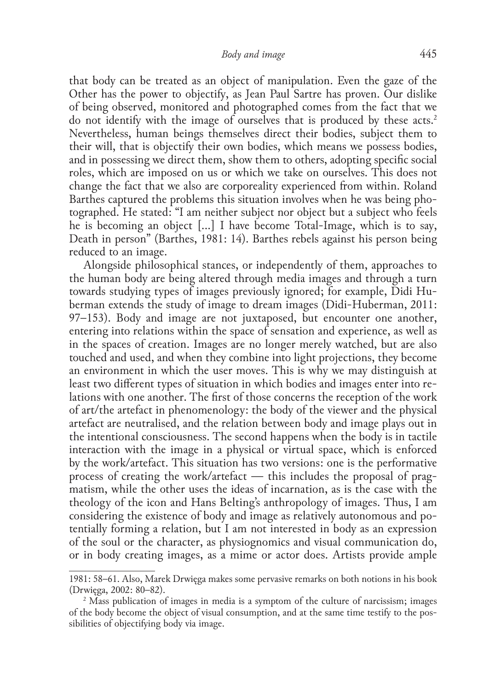that body can be treated as an object of manipulation. Even the gaze of the Other has the power to objectify, as Jean Paul Sartre has proven. Our dislike of being observed, monitored and photographed comes from the fact that we do not identify with the image of ourselves that is produced by these acts.2 Nevertheless, human beings themselves direct their bodies, subject them to their will, that is objectify their own bodies, which means we possess bodies, and in possessing we direct them, show them to others, adopting specific social roles, which are imposed on us or which we take on ourselves. This does not change the fact that we also are corporeality experienced from within. Roland Barthes captured the problems this situation involves when he was being photographed. He stated: "I am neither subject nor object but a subject who feels he is becoming an object [...] I have become Total-Image, which is to say, Death in person" (Barthes, 1981: 14). Barthes rebels against his person being reduced to an image.

Alongside philosophical stances, or independently of them, approaches to the human body are being altered through media images and through a turn towards studying types of images previously ignored; for example, Didi Huberman extends the study of image to dream images (Didi-Huberman, 2011: 97–153). Body and image are not juxtaposed, but encounter one another, entering into relations within the space of sensation and experience, as well as in the spaces of creation. Images are no longer merely watched, but are also touched and used, and when they combine into light projections, they become an environment in which the user moves. This is why we may distinguish at least two different types of situation in which bodies and images enter into re‑ lations with one another. The first of those concerns the reception of the work of art/the artefact in phenomenology: the body of the viewer and the physical artefact are neutralised, and the relation between body and image plays out in the intentional consciousness. The second happens when the body is in tactile interaction with the image in a physical or virtual space, which is enforced by the work/artefact. This situation has two versions: one is the performative process of creating the work/artefact  $-$  this includes the proposal of pragmatism, while the other uses the ideas of incarnation, as is the case with the theology of the icon and Hans Belting's anthropology of images. Thus, I am considering the existence of body and image as relatively autonomous and potentially forming a relation, but I am not interested in body as an expression of the soul or the character, as physiognomics and visual communication do, or in body creating images, as a mime or actor does. Artists provide ample

<sup>1981: 58–61.</sup> Also, Marek Drwięga makes some pervasive remarks on both notions in his book (Drwięga, 2002: 80–82).

<sup>&</sup>lt;sup>2</sup> Mass publication of images in media is a symptom of the culture of narcissism; images of the body become the object of visual consumption, and at the same time testify to the pos‑ sibilities of objectifying body via image.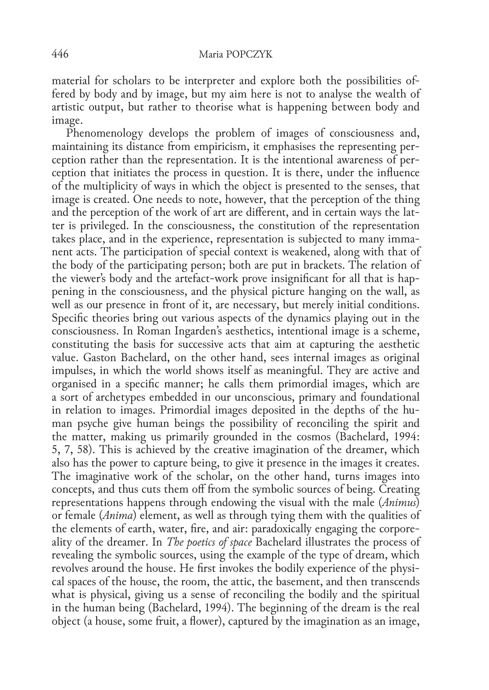material for scholars to be interpreter and explore both the possibilities offered by body and by image, but my aim here is not to analyse the wealth of artistic output, but rather to theorise what is happening between body and image.

Phenomenology develops the problem of images of consciousness and, maintaining its distance from empiricism, it emphasises the representing perception rather than the representation. It is the intentional awareness of per‑ ception that initiates the process in question. It is there, under the influence of the multiplicity of ways in which the object is presented to the senses, that image is created. One needs to note, however, that the perception of the thing and the perception of the work of art are different, and in certain ways the latter is privileged. In the consciousness, the constitution of the representation takes place, and in the experience, representation is subjected to many immanent acts. The participation of special context is weakened, along with that of the body of the participating person; both are put in brackets. The relation of the viewer's body and the artefact–work prove insignificant for all that is hap– pening in the consciousness, and the physical picture hanging on the wall, as well as our presence in front of it, are necessary, but merely initial conditions. Specific theories bring out various aspects of the dynamics playing out in the consciousness. In Roman Ingarden's aesthetics, intentional image is a scheme, constituting the basis for successive acts that aim at capturing the aesthetic value. Gaston Bachelard, on the other hand, sees internal images as original impulses, in which the world shows itself as meaningful. They are active and organised in a specific manner; he calls them primordial images, which are a sort of archetypes embedded in our unconscious, primary and foundational in relation to images. Primordial images deposited in the depths of the human psyche give human beings the possibility of reconciling the spirit and the matter, making us primarily grounded in the cosmos (Bachelard, 1994: 5, 7, 58). This is achieved by the creative imagination of the dreamer, which also has the power to capture being, to give it presence in the images it creates. The imaginative work of the scholar, on the other hand, turns images into concepts, and thus cuts them off from the symbolic sources of being. Creating representations happens through endowing the visual with the male (*Animus*) or female (*Anima*) element, as well as through tying them with the qualities of the elements of earth, water, fire, and air: paradoxically engaging the corporeality of the dreamer. In *The poetics of space* Bachelard illustrates the process of revealing the symbolic sources, using the example of the type of dream, which revolves around the house. He first invokes the bodily experience of the physical spaces of the house, the room, the attic, the basement, and then transcends what is physical, giving us a sense of reconciling the bodily and the spiritual in the human being (Bachelard, 1994). The beginning of the dream is the real object (a house, some fruit, a flower), captured by the imagination as an image,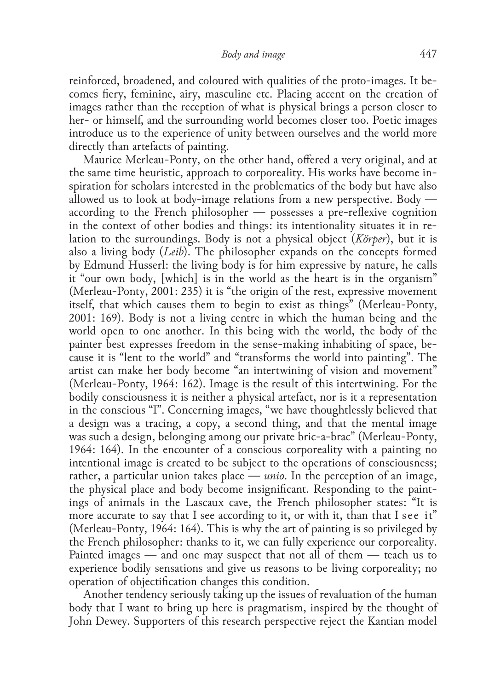reinforced, broadened, and coloured with qualities of the proto-images. It becomes fiery, feminine, airy, masculine etc. Placing accent on the creation of images rather than the reception of what is physical brings a person closer to her– or himself, and the surrounding world becomes closer too. Poetic images introduce us to the experience of unity between ourselves and the world more directly than artefacts of painting.

Maurice Merleau‑Ponty, on the other hand, offered a very original, and at the same time heuristic, approach to corporeality. His works have become in‑ spiration for scholars interested in the problematics of the body but have also allowed us to look at body-image relations from a new perspective. Body according to the French philosopher — possesses a pre‑reflexive cognition in the context of other bodies and things: its intentionality situates it in relation to the surroundings. Body is not a physical object (*Körper*), but it is also a living body (*Leib*). The philosopher expands on the concepts formed by Edmund Husserl: the living body is for him expressive by nature, he calls it "our own body, [which] is in the world as the heart is in the organism" (Merleau‑Ponty, 2001: 235) it is "the origin of the rest, expressive movement itself, that which causes them to begin to exist as things" (Merleau‑Ponty, 2001: 169). Body is not a living centre in which the human being and the world open to one another. In this being with the world, the body of the painter best expresses freedom in the sense-making inhabiting of space, because it is "lent to the world" and "transforms the world into painting". The artist can make her body become "an intertwining of vision and movement" (Merleau‑Ponty, 1964: 162). Image is the result of this intertwining. For the bodily consciousness it is neither a physical artefact, nor is it a representation in the conscious "I". Concerning images, "we have thoughtlessly believed that a design was a tracing, a copy, a second thing, and that the mental image was such a design, belonging among our private bric-a-brac" (Merleau-Ponty, 1964: 164). In the encounter of a conscious corporeality with a painting no intentional image is created to be subject to the operations of consciousness; rather, a particular union takes place — *unio*. In the perception of an image, the physical place and body become insignificant. Responding to the paint– ings of animals in the Lascaux cave, the French philosopher states: "It is more accurate to say that I see according to it, or with it, than that I see it" (Merleau‑Ponty, 1964: 164). This is why the art of painting is so privileged by the French philosopher: thanks to it, we can fully experience our corporeality. Painted images — and one may suspect that not all of them — teach us to experience bodily sensations and give us reasons to be living corporeality; no operation of objectification changes this condition.

Another tendency seriously taking up the issues of revaluation of the human body that I want to bring up here is pragmatism, inspired by the thought of John Dewey. Supporters of this research perspective reject the Kantian model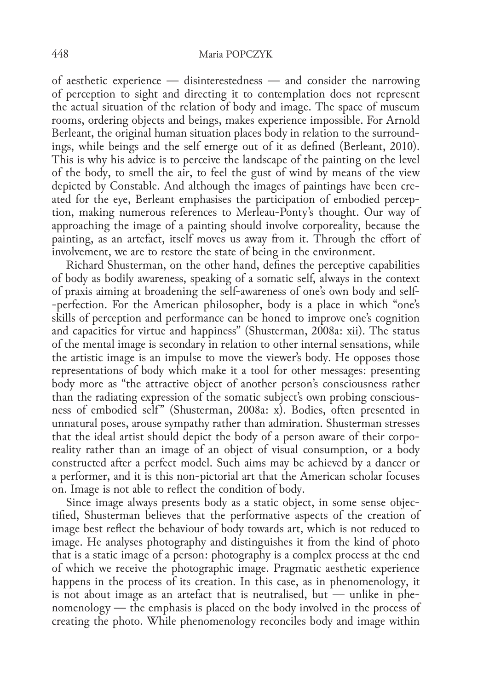of aesthetic experience — disinterestedness — and consider the narrowing of perception to sight and directing it to contemplation does not represent the actual situation of the relation of body and image. The space of museum rooms, ordering objects and beings, makes experience impossible. For Arnold Berleant, the original human situation places body in relation to the surroundings, while beings and the self emerge out of it as defined (Berleant, 2010). This is why his advice is to perceive the landscape of the painting on the level of the body, to smell the air, to feel the gust of wind by means of the view depicted by Constable. And although the images of paintings have been cre‑ ated for the eye, Berleant emphasises the participation of embodied perception, making numerous references to Merleau‑Ponty's thought. Our way of approaching the image of a painting should involve corporeality, because the painting, as an artefact, itself moves us away from it. Through the effort of involvement, we are to restore the state of being in the environment.

Richard Shusterman, on the other hand, defines the perceptive capabilities of body as bodily awareness, speaking of a somatic self, always in the context of praxis aiming at broadening the self‑awareness of one's own body and self-‑perfection. For the American philosopher, body is a place in which "one's skills of perception and performance can be honed to improve one's cognition and capacities for virtue and happiness" (Shusterman, 2008a: xii). The status of the mental image is secondary in relation to other internal sensations, while the artistic image is an impulse to move the viewer's body. He opposes those representations of body which make it a tool for other messages: presenting body more as "the attractive object of another person's consciousness rather than the radiating expression of the somatic subject's own probing conscious– ness of embodied self" (Shusterman, 2008a: x). Bodies, often presented in unnatural poses, arouse sympathy rather than admiration. Shusterman stresses that the ideal artist should depict the body of a person aware of their corporeality rather than an image of an object of visual consumption, or a body constructed after a perfect model. Such aims may be achieved by a dancer or a performer, and it is this non‑pictorial art that the American scholar focuses on. Image is not able to reflect the condition of body.

Since image always presents body as a static object, in some sense objectified, Shusterman believes that the performative aspects of the creation of image best reflect the behaviour of body towards art, which is not reduced to image. He analyses photography and distinguishes it from the kind of photo that is a static image of a person: photography is a complex process at the end of which we receive the photographic image. Pragmatic aesthetic experience happens in the process of its creation. In this case, as in phenomenology, it is not about image as an artefact that is neutralised, but — unlike in phenomenology — the emphasis is placed on the body involved in the process of creating the photo. While phenomenology reconciles body and image within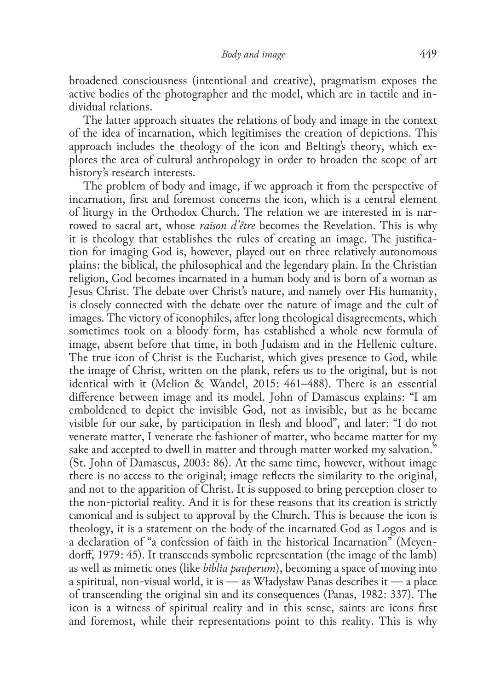broadened consciousness (intentional and creative), pragmatism exposes the active bodies of the photographer and the model, which are in tactile and in‑ dividual relations.

The latter approach situates the relations of body and image in the context of the idea of incarnation, which legitimises the creation of depictions. This approach includes the theology of the icon and Belting's theory, which explores the area of cultural anthropology in order to broaden the scope of art history's research interests.

The problem of body and image, if we approach it from the perspective of incarnation, first and foremost concerns the icon, which is a central element of liturgy in the Orthodox Church. The relation we are interested in is nar‑ rowed to sacral art, whose *raison d'être* becomes the Revelation. This is why it is theology that establishes the rules of creating an image. The justification for imaging God is, however, played out on three relatively autonomous plains: the biblical, the philosophical and the legendary plain. In the Christian religion, God becomes incarnated in a human body and is born of a woman as Jesus Christ. The debate over Christ's nature, and namely over His humanity, is closely connected with the debate over the nature of image and the cult of images. The victory of iconophiles, after long theological disagreements, which sometimes took on a bloody form, has established a whole new formula of image, absent before that time, in both Judaism and in the Hellenic culture. The true icon of Christ is the Eucharist, which gives presence to God, while the image of Christ, written on the plank, refers us to the original, but is not identical with it (Melion & Wandel, 2015: 461–488). There is an essential difference between image and its model. John of Damascus explains: "I am emboldened to depict the invisible God, not as invisible, but as he became visible for our sake, by participation in flesh and blood", and later: "I do not venerate matter, I venerate the fashioner of matter, who became matter for my sake and accepted to dwell in matter and through matter worked my salvation." (St. John of Damascus, 2003: 86). At the same time, however, without image there is no access to the original; image reflects the similarity to the original, and not to the apparition of Christ. It is supposed to bring perception closer to the non‑pictorial reality. And it is for these reasons that its creation is strictly canonical and is subject to approval by the Church. This is because the icon is theology, it is a statement on the body of the incarnated God as Logos and is a declaration of "a confession of faith in the historical Incarnation" (Meyendorff, 1979: 45). It transcends symbolic representation (the image of the lamb) as well as mimetic ones (like *biblia pauperum*), becoming a space of moving into a spiritual, non-visual world, it is — as Władysław Panas describes it — a place of transcending the original sin and its consequences (Panas, 1982: 337). The icon is a witness of spiritual reality and in this sense, saints are icons first and foremost, while their representations point to this reality. This is why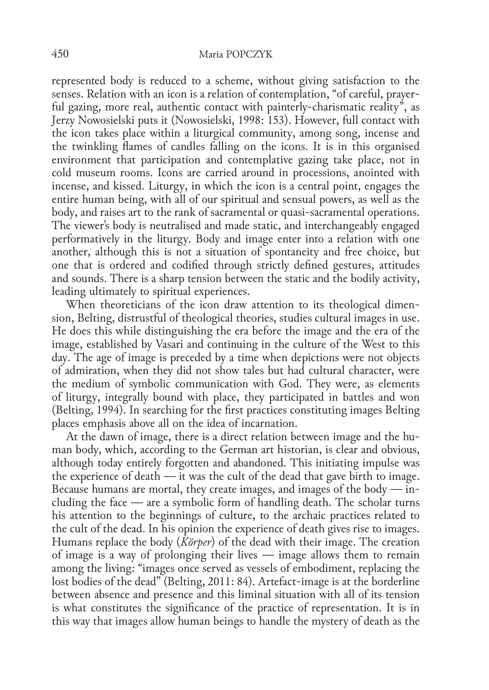represented body is reduced to a scheme, without giving satisfaction to the senses. Relation with an icon is a relation of contemplation, "of careful, prayerful gazing, more real, authentic contact with painterly-charismatic reality", as Jerzy Nowosielski puts it (Nowosielski, 1998: 153). However, full contact with the icon takes place within a liturgical community, among song, incense and the twinkling flames of candles falling on the icons. It is in this organised environment that participation and contemplative gazing take place, not in cold museum rooms. Icons are carried around in processions, anointed with incense, and kissed. Liturgy, in which the icon is a central point, engages the entire human being, with all of our spiritual and sensual powers, as well as the body, and raises art to the rank of sacramental or quasi-sacramental operations. The viewer's body is neutralised and made static, and interchangeably engaged performatively in the liturgy. Body and image enter into a relation with one another, although this is not a situation of spontaneity and free choice, but one that is ordered and codified through strictly defined gestures, attitudes and sounds. There is a sharp tension between the static and the bodily activity, leading ultimately to spiritual experiences.

When theoreticians of the icon draw attention to its theological dimension, Belting, distrustful of theological theories, studies cultural images in use. He does this while distinguishing the era before the image and the era of the image, established by Vasari and continuing in the culture of the West to this day. The age of image is preceded by a time when depictions were not objects of admiration, when they did not show tales but had cultural character, were the medium of symbolic communication with God. They were, as elements of liturgy, integrally bound with place, they participated in battles and won (Belting, 1994). In searching for the first practices constituting images Belting places emphasis above all on the idea of incarnation.

At the dawn of image, there is a direct relation between image and the human body, which, according to the German art historian, is clear and obvious, although today entirely forgotten and abandoned. This initiating impulse was the experience of death — it was the cult of the dead that gave birth to image. Because humans are mortal, they create images, and images of the body — in‑ cluding the face — are a symbolic form of handling death. The scholar turns his attention to the beginnings of culture, to the archaic practices related to the cult of the dead. In his opinion the experience of death gives rise to images. Humans replace the body (*Körper*) of the dead with their image. The creation of image is a way of prolonging their lives — image allows them to remain among the living: "images once served as vessels of embodiment, replacing the lost bodies of the dead" (Belting, 2011: 84). Artefact-image is at the borderline between absence and presence and this liminal situation with all of its tension is what constitutes the significance of the practice of representation. It is in this way that images allow human beings to handle the mystery of death as the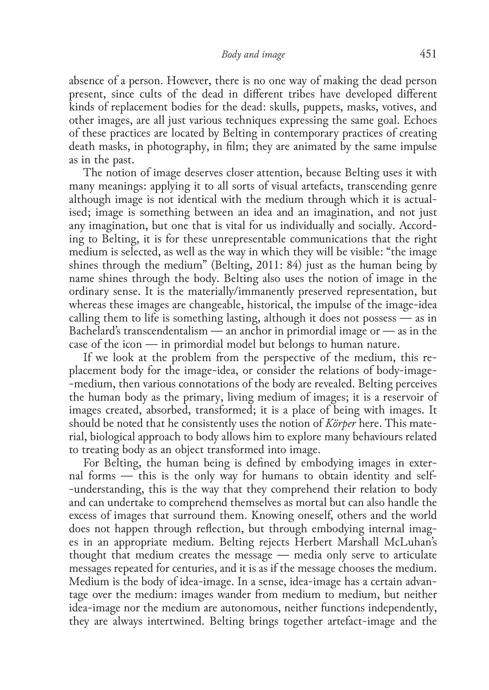absence of a person. However, there is no one way of making the dead person present, since cults of the dead in different tribes have developed different kinds of replacement bodies for the dead: skulls, puppets, masks, votives, and other images, are all just various techniques expressing the same goal. Echoes of these practices are located by Belting in contemporary practices of creating death masks, in photography, in film; they are animated by the same impulse as in the past.

The notion of image deserves closer attention, because Belting uses it with many meanings: applying it to all sorts of visual artefacts, transcending genre although image is not identical with the medium through which it is actual‑ ised; image is something between an idea and an imagination, and not just any imagination, but one that is vital for us individually and socially. According to Belting, it is for these unrepresentable communications that the right medium is selected, as well as the way in which they will be visible: "the image shines through the medium" (Belting, 2011: 84) just as the human being by name shines through the body. Belting also uses the notion of image in the ordinary sense. It is the materially/immanently preserved representation, but whereas these images are changeable, historical, the impulse of the image-idea calling them to life is something lasting, although it does not possess — as in Bachelard's transcendentalism — an anchor in primordial image or — as in the case of the icon — in primordial model but belongs to human nature.

If we look at the problem from the perspective of the medium, this replacement body for the image‑idea, or consider the relations of body‑image-‑medium, then various connotations of the body are revealed. Belting perceives the human body as the primary, living medium of images; it is a reservoir of images created, absorbed, transformed; it is a place of being with images. It should be noted that he consistently uses the notion of *Körper* here. This mate‑ rial, biological approach to body allows him to explore many behaviours related to treating body as an object transformed into image.

For Belting, the human being is defined by embodying images in external forms — this is the only way for humans to obtain identity and self-‑understanding, this is the way that they comprehend their relation to body and can undertake to comprehend themselves as mortal but can also handle the excess of images that surround them. Knowing oneself, others and the world does not happen through reflection, but through embodying internal images in an appropriate medium. Belting rejects Herbert Marshall McLuhan's thought that medium creates the message — media only serve to articulate messages repeated for centuries, and it is as if the message chooses the medium. Medium is the body of idea-image. In a sense, idea-image has a certain advantage over the medium: images wander from medium to medium, but neither idea-image nor the medium are autonomous, neither functions independently, they are always intertwined. Belting brings together artefact‑image and the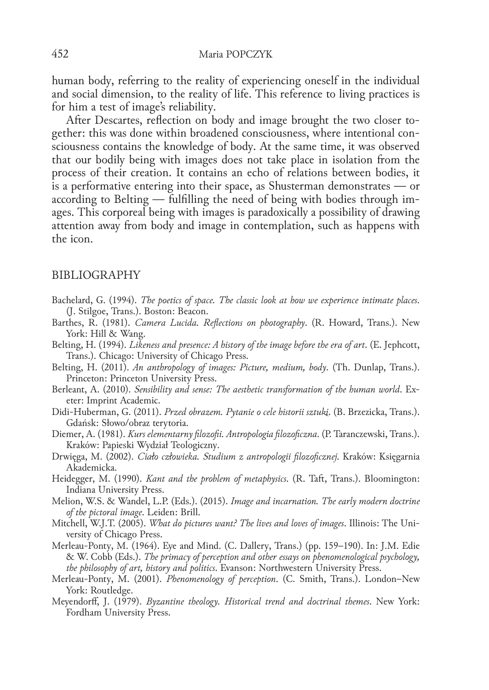human body, referring to the reality of experiencing oneself in the individual and social dimension, to the reality of life. This reference to living practices is for him a test of image's reliability.

After Descartes, reflection on body and image brought the two closer together: this was done within broadened consciousness, where intentional consciousness contains the knowledge of body. At the same time, it was observed that our bodily being with images does not take place in isolation from the process of their creation. It contains an echo of relations between bodies, it is a performative entering into their space, as Shusterman demonstrates — or according to Belting — fulfilling the need of being with bodies through images. This corporeal being with images is paradoxically a possibility of drawing attention away from body and image in contemplation, such as happens with the icon.

#### BIBLIOGRAPHY

- Bachelard, G. (1994). *The poetics of space. The classic look at how we experience intimate places*. (J. Stilgoe, Trans.). Boston: Beacon.
- Barthes, R. (1981). *Camera Lucida. Reflections on photography*. (R. Howard, Trans.). New York: Hill & Wang.
- Belting, H. (1994). *Likeness and presence: A history of the image before the era of art*. (E. Jephcott, Trans.). Chicago: University of Chicago Press.
- Belting, H. (2011). *An anthropology of images: Picture, medium, body*. (Th. Dunlap, Trans.). Princeton: Princeton University Press.
- Berleant, A. (2010). *Sensibility and sense: The aesthetic transformation of the human world*. Exeter: Imprint Academic.
- Didi‑Huberman, G. (2011). *Przed obrazem. Pytanie o cele historii sztuki*. (B. Brzezicka, Trans.). Gdańsk: Słowo/obraz terytoria.
- Diemer, A. (1981). *Kurs elementarny filozofii. Antropologia filozoficzna*. (P. Taranczewski, Trans.). Kraków: Papieski Wydział Teologiczny.
- Drwięga, M. (2002). *Ciało człowieka. Studium z antropologii filozoficznej*. Kraków: Księgarnia Akademicka.
- Heidegger, M. (1990). *Kant and the problem of metaphysics*. (R. Taft, Trans.). Bloomington: Indiana University Press.
- Melion, W.S. & Wandel, L.P. (Eds.). (2015). *Image and incarnation. The early modern doctrine of the pictoral image*. Leiden: Brill.
- Mitchell, W.J.T. (2005). *What do pictures want? The lives and loves of images*. Illinois: The Uni‑ versity of Chicago Press.
- Merleau‑Ponty, M. (1964). Eye and Mind. (C. Dallery, Trans.) (pp. 159–190). In: J.M. Edie & W. Cobb (Eds.). *The primacy of perception and other essays on phenomenological psychology, the philosophy of art, history and politics*. Evanson: Northwestern University Press.
- Merleau‑Ponty, M. (2001). *Phenomenology of perception*. (C. Smith, Trans.). London–New York: Routledge.
- Meyendorff, J. (1979). *Byzantine theology. Historical trend and doctrinal themes*. New York: Fordham University Press.